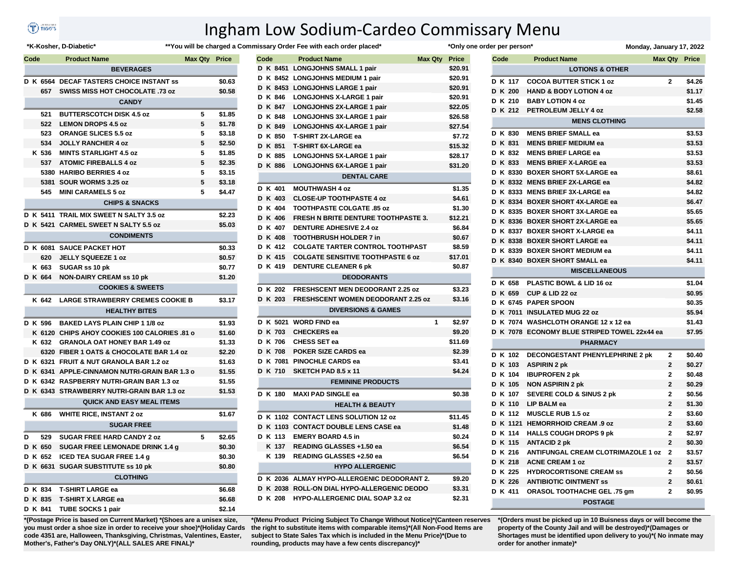## (T) nee's

## Ingham Low Sodium-Cardeo Commissary Menu

## \*K-Kosher, D-Diabetic\*

## \*\*You will be charged a Commissary Order Fee with each order placed\*

| <b>Product Name</b><br>Code<br><b>Max Qty Price</b> |  |          |                                               |   |        |
|-----------------------------------------------------|--|----------|-----------------------------------------------|---|--------|
|                                                     |  |          | <b>BEVERAGES</b>                              |   |        |
|                                                     |  |          | D K 6564 DECAF TASTERS CHOICE INSTANT SS      |   | \$0.63 |
|                                                     |  | 657      | <b>SWISS MISS HOT CHOCOLATE .73 oz</b>        |   | \$0.58 |
|                                                     |  |          | <b>CANDY</b>                                  |   |        |
|                                                     |  | 521      | <b>BUTTERSCOTCH DISK 4.5 oz</b>               | 5 | \$1.85 |
|                                                     |  | 522      | <b>LEMON DROPS 4.5 oz</b>                     | 5 | \$1.78 |
|                                                     |  | 523      | <b>ORANGE SLICES 5.5 oz</b>                   | 5 | \$3.18 |
|                                                     |  | 534      | <b>JOLLY RANCHER 4 oz</b>                     | 5 | \$2.50 |
|                                                     |  | K 536    | <b>MINTS STARLIGHT 4.5 oz</b>                 | 5 | \$1.85 |
|                                                     |  | 537      | <b>ATOMIC FIREBALLS 4 oz</b>                  | 5 | \$2.35 |
|                                                     |  |          | 5380 HARIBO BERRIES 4 oz                      | 5 | \$3.15 |
|                                                     |  | 5381     | SOUR WORMS 3.25 oz                            | 5 | \$3.18 |
|                                                     |  | 545      | <b>MINI CARAMELS 5 oz</b>                     | 5 | \$4.47 |
|                                                     |  |          | <b>CHIPS &amp; SNACKS</b>                     |   |        |
|                                                     |  | D K 5411 | TRAIL MIX SWEET N SALTY 3.5 oz                |   | \$2.23 |
|                                                     |  |          | D K 5421 CARMEL SWEET N SALTY 5.5 oz          |   | \$5.03 |
|                                                     |  |          | <b>CONDIMENTS</b>                             |   |        |
|                                                     |  | D K 6081 | <b>SAUCE PACKET HOT</b>                       |   | \$0.33 |
|                                                     |  | 620      | <b>JELLY SQUEEZE 1 oz</b>                     |   | \$0.57 |
|                                                     |  | K 663    | SUGAR ss 10 pk                                |   | \$0.77 |
|                                                     |  | D K 664  | <b>NON-DAIRY CREAM ss 10 pk</b>               |   | \$1.20 |
|                                                     |  |          | <b>COOKIES &amp; SWEETS</b>                   |   |        |
|                                                     |  | K 642    | <b>LARGE STRAWBERRY CREMES COOKIE B</b>       |   | \$3.17 |
|                                                     |  |          | <b>HEALTHY BITES</b>                          |   |        |
|                                                     |  | D K 596  | <b>BAKED LAYS PLAIN CHIP 1 1/8 oz</b>         |   | \$1.93 |
|                                                     |  |          | K 6120 CHIPS AHOY COOKIES 100 CALORIES .81 o  |   | \$1.60 |
|                                                     |  | K 632    | <b>GRANOLA OAT HONEY BAR 1.49 oz</b>          |   | \$1.33 |
|                                                     |  |          | 6320 FIBER 1 OATS & CHOCOLATE BAR 1.4 oz      |   | \$2.20 |
|                                                     |  |          | D K 6321 FRUIT & NUT GRANOLA BAR 1.2 oz       |   | \$1.63 |
|                                                     |  |          | D K 6341 APPLE-CINNAMON NUTRI-GRAIN BAR 1.3 o |   | \$1.55 |
|                                                     |  |          | D K 6342 RASPBERRY NUTRI-GRAIN BAR 1.3 oz     |   | \$1.55 |
|                                                     |  |          | D K 6343 STRAWBERRY NUTRI-GRAIN BAR 1.3 oz    |   | \$1.53 |
|                                                     |  |          | <b>QUICK AND EASY MEAL ITEMS</b>              |   |        |
|                                                     |  | K 686    | <b>WHITE RICE, INSTANT 2 oz</b>               |   | \$1.67 |
|                                                     |  |          | <b>SUGAR FREE</b>                             |   |        |
| D                                                   |  | 529      | <b>SUGAR FREE HARD CANDY 2 oz</b>             | 5 | \$2.65 |
|                                                     |  | D K 650  | SUGAR FREE LEMONADE DRINK 1.4 g               |   | \$0.30 |
|                                                     |  | D K 652  | <b>ICED TEA SUGAR FREE 1.4 g</b>              |   | \$0.30 |
|                                                     |  |          | D K 6631 SUGAR SUBSTITUTE ss 10 pk            |   | \$0.80 |
|                                                     |  |          | <b>CLOTHING</b>                               |   |        |
|                                                     |  | D K 834  | <b>T-SHIRT LARGE ea</b>                       |   | \$6.68 |
|                                                     |  | D K 835  | <b>T-SHIRT X LARGE ea</b>                     |   | \$6.68 |
|                                                     |  | D K 841  | TURE SOCKS 1 pair                             |   | \$2.14 |

\*(Postage Price is based on Current Market) \*(Shoes are a unisex size, you must order a shoe size in order to receive your shoe)\*(Holiday Cards code 4351 are, Halloween, Thanksgiving, Christmas, Valentines, Easter, Mother's, Father's Day ONLY)\*(ALL SALES ARE FINAL)\*

|      |                | nissary Order Fee with each order placed*   |   | *Only one or |  |
|------|----------------|---------------------------------------------|---|--------------|--|
| Code |                | <b>Product Name</b><br><b>Max Qty</b>       |   | <b>Price</b> |  |
|      |                | D K 8451 LONGJOHNS SMALL 1 pair             |   | \$20.91      |  |
|      |                | D K 8452 LONGJOHNS MEDIUM 1 pair            |   | \$20.91      |  |
|      |                | D K 8453 LONGJOHNS LARGE 1 pair             |   | \$20.91      |  |
|      | D K 846        | <b>LONGJOHNS X-LARGE 1 pair</b>             |   | \$20.91      |  |
|      | D K 847        | LONGJOHNS 2X-LARGE 1 pair                   |   | \$22.05      |  |
|      | D K 848        | LONGJOHNS 3X-LARGE 1 pair                   |   | \$26.58      |  |
|      | D K 849        | LONGJOHNS 4X-LARGE 1 pair                   |   | \$27.54      |  |
|      | D K 850        | <b>T-SHIRT 2X-LARGE ea</b>                  |   | \$7.72       |  |
|      | D K 851        | <b>T-SHIRT 6X-LARGE ea</b>                  |   | \$15.32      |  |
|      | D K 885        | LONGJOHNS 5X-LARGE 1 pair                   |   | \$28.17      |  |
|      | D K 886        | LONGJOHNS 6X-LARGE 1 pair                   |   | \$31.20      |  |
|      |                | <b>DENTAL CARE</b>                          |   |              |  |
|      | D K 401        | <b>MOUTHWASH 4 oz</b>                       |   | \$1.35       |  |
|      | D K 403        | <b>CLOSE-UP TOOTHPASTE 4 oz</b>             |   | \$4.61       |  |
|      | D K 404        | TOOTHPASTE COLGATE .85 oz                   |   | \$1.30       |  |
|      | D K 406        | <b>FRESH N BRITE DENTURE TOOTHPASTE 3.</b>  |   | \$12.21      |  |
|      | D K 407        | <b>DENTURE ADHESIVE 2.4 oz</b>              |   | \$6.84       |  |
|      | D K 408        | <b>TOOTHBRUSH HOLDER 7 in</b>               |   | \$0.67       |  |
|      | D K 412        | <b>COLGATE TARTER CONTROL TOOTHPAST</b>     |   | \$8.59       |  |
|      | D K 415        | <b>COLGATE SENSITIVE TOOTHPASTE 6 oz</b>    |   | \$17.01      |  |
|      | D K 419        | <b>DENTURE CLEANER 6 pk</b>                 |   | \$0.87       |  |
|      |                | <b>DEODORANTS</b>                           |   |              |  |
|      | D K 202        | FRESHSCENT MEN DEODORANT 2.25 oz            |   | \$3.23       |  |
|      | D K 203        | <b>FRESHSCENT WOMEN DEODORANT 2.25 oz</b>   |   | \$3.16       |  |
|      |                | <b>DIVERSIONS &amp; GAMES</b>               |   |              |  |
|      |                | D K 5021 WORD FIND ea                       | 1 | \$2.97       |  |
|      | D K 703        | <b>CHECKERS</b> ea                          |   | \$9.20       |  |
|      | D K 706        | <b>CHESS SET ea</b>                         |   | \$11.69      |  |
|      | <b>D K 708</b> | POKER SIZE CARDS ea                         |   | \$2.39       |  |
|      |                | D K 7081 PINOCHLE CARDS ea                  |   | \$3.41       |  |
|      | D K 710        | SKETCH PAD 8.5 x 11                         |   | \$4.24       |  |
|      |                | <b>FEMININE PRODUCTS</b>                    |   |              |  |
|      | D K 180        | <b>MAXI PAD SINGLE ea</b>                   |   | \$0.38       |  |
|      |                | <b>HEALTH &amp; BEAUTY</b>                  |   |              |  |
|      |                | D K 1102 CONTACT LENS SOLUTION 12 oz        |   | \$11.45      |  |
|      |                | D K 1103 CONTACT DOUBLE LENS CASE ea        |   | \$1.48       |  |
|      | D K 113        | <b>EMERY BOARD 4.5 in</b>                   |   | \$0.24       |  |
|      | K 137          | READING GLASSES +1.50 ea                    |   | \$6.54       |  |
|      | K 139          | READING GLASSES +2.50 ea                    |   | \$6.54       |  |
|      |                | <b>HYPO ALLERGENIC</b>                      |   |              |  |
|      |                | D K 2036 ALMAY HYPO-ALLERGENIC DEODORANT 2. |   | \$9.20       |  |
|      |                | D K 2038 ROLL-ON DIAL HYPO-ALLERGENIC DEODO |   | \$3.31       |  |
|      | D K 208        | <b>HYPO-ALLERGENIC DIAL SOAP 3.2 oz</b>     |   | \$2.31       |  |
|      |                |                                             |   |              |  |

\*(Menu Product Pricing Subject To Change Without Notice)\*(Canteen reserves the right to substitute items with comparable items)\*(All Non-Food Items are subject to State Sales Tax which is included in the Menu Price)\*(Due to rounding, products may have a few cents discrepancy)\*

|      | der per person* |                                              | Monday, January 17, 2022 |        |
|------|-----------------|----------------------------------------------|--------------------------|--------|
| Code |                 | <b>Product Name</b>                          | <b>Max Qty Price</b>     |        |
|      |                 | <b>LOTIONS &amp; OTHER</b>                   |                          |        |
|      | D K 117         | <b>COCOA BUTTER STICK 1 oz</b>               | $\mathbf{2}$             | \$4.26 |
|      | D K 200         | <b>HAND &amp; BODY LOTION 4 oz</b>           |                          | \$1.17 |
|      | D K 210         | <b>BABY LOTION 4 oz</b>                      |                          | \$1.45 |
|      | D K 212         | PETROLEUM JELLY 4 oz                         |                          | \$2.58 |
|      |                 | <b>MENS CLOTHING</b>                         |                          |        |
|      | D K 830         | <b>MENS BRIEF SMALL ea</b>                   |                          | \$3.53 |
|      | D K 831         | <b>MENS BRIEF MEDIUM ea</b>                  |                          | \$3.53 |
|      | D K 832         | <b>MENS BRIEF LARGE ea</b>                   |                          | \$3.53 |
|      | D K 833         | <b>MENS BRIEF X-LARGE ea</b>                 |                          | \$3.53 |
|      |                 | D K 8330 BOXER SHORT 5X-LARGE ea             |                          | \$8.61 |
|      |                 | D K 8332 MENS BRIEF 2X-LARGE ea              |                          | \$4.82 |
|      |                 | D K 8333 MENS BRIEF 3X-LARGE ea              |                          | \$4.82 |
|      |                 | D K 8334 BOXER SHORT 4X-LARGE ea             |                          | \$6.47 |
|      |                 | D K 8335 BOXER SHORT 3X-LARGE ea             |                          | \$5.65 |
|      |                 | D K 8336 BOXER SHORT 2X-LARGE ea             |                          | \$5.65 |
|      |                 | D K 8337 BOXER SHORT X-LARGE ea              |                          | \$4.11 |
|      |                 | D K 8338 BOXER SHORT LARGE ea                |                          | \$4.11 |
|      |                 | D K 8339 BOXER SHORT MEDIUM ea               |                          | \$4.11 |
|      |                 | D K 8340 BOXER SHORT SMALL ea                |                          | \$4.11 |
|      |                 | <b>MISCELLANEOUS</b>                         |                          |        |
|      |                 |                                              |                          |        |
|      | D K 658         | PLASTIC BOWL & LID 16 oz                     |                          | \$1.04 |
|      | D K 659         | CUP & LID 22 oz                              |                          | \$0.95 |
|      |                 | D K 6745 PAPER SPOON                         |                          | \$0.35 |
|      | D K 7011        | <b>INSULATED MUG 22 oz</b>                   |                          | \$5.94 |
|      |                 | D K 7074 WASHCLOTH ORANGE 12 x 12 ea         |                          | \$1.43 |
|      |                 | D K 7078 ECONOMY BLUE STRIPED TOWEL 22x44 ea |                          | \$7.95 |
|      |                 | <b>PHARMACY</b>                              |                          |        |
|      | D K 102         | <b>DECONGESTANT PHENYLEPHRINE 2 pk</b>       | $\mathbf{2}$             | \$0.40 |
|      | D K 103         | <b>ASPIRIN 2 pk</b>                          | $\overline{2}$           | \$0.27 |
|      | D K 104         | <b>IBUPROFEN 2 pk</b>                        | $\mathbf{2}$             | \$0.48 |
|      | D K 105         | <b>NON ASPIRIN 2 pk</b>                      | $\mathbf{2}$             | \$0.29 |
|      | D K 107         | <b>SEVERE COLD &amp; SINUS 2 pk</b>          | $\overline{\mathbf{2}}$  | \$0.56 |
|      | D K 110         | LIP BALM ea                                  | $\overline{2}$           | \$1.30 |
|      | D K 112         | <b>MUSCLE RUB 1.5 oz</b>                     | $\mathbf{2}$             | \$3.60 |
|      | D K 1121        | <b>HEMORRHOID CREAM .9 oz</b>                | 2                        | \$3.60 |
|      | D K 114         | <b>HALLS COUGH DROPS 9 pk</b>                | 2                        | \$2.97 |
|      | D K 115         | <b>ANTACID 2 pk</b>                          | $\mathbf{2}$             | \$0.30 |
|      | D K 216         | <b>ANTIFUNGAL CREAM CLOTRIMAZOLE 1 oz</b>    | $\mathbf{2}$             | \$3.57 |
|      | D K 218         | <b>ACNE CREAM 1 oz</b>                       | $\overline{2}$           | \$3.57 |
|      | D K 225         | <b>HYDROCORTISONE CREAM SS</b>               | $\mathbf{2}$             | \$0.56 |
|      | D K 226         | <b>ANTIBIOTIC OINTMENT SS</b>                | $\mathbf 2$              | \$0.61 |
|      | D K 411         | ORASOL TOOTHACHE GEL .75 gm                  | $\overline{\mathbf{2}}$  | \$0.95 |
|      |                 | <b>POSTAGE</b>                               |                          |        |

\*(Orders must be picked up in 10 Buisness days or will become the property of the County Jail and will be destroyed)\*(Damages or Shortages must be identified upon delivery to you)\*(No inmate may order for another inmate)\*